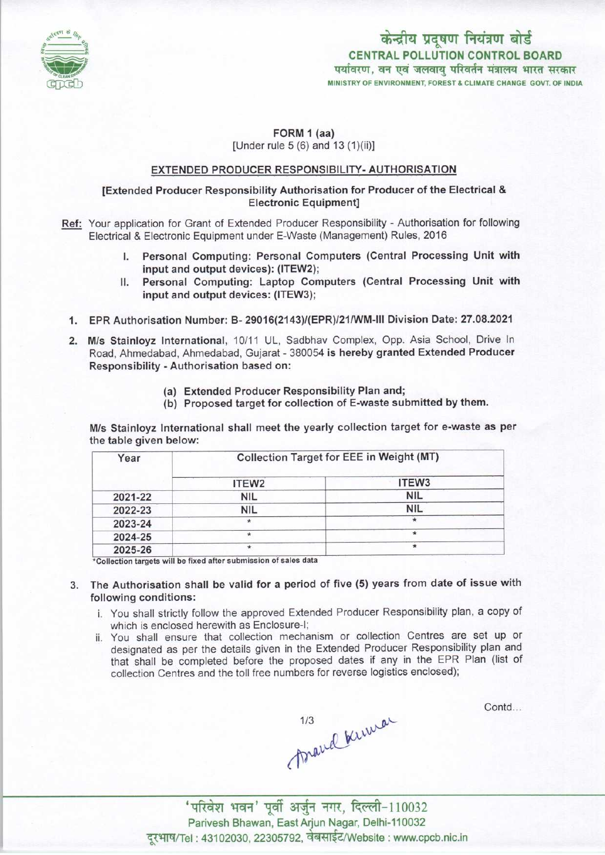

# केन्द्रीय प्रदूषण नियंत्रण बोर्ड CENTRAL POLLUTION CONTROL BOARD<br>पर्यावरण, वन एवं जलवाय परिवर्तन मंत्रालय भारत सरकार MINISTRY OF ENVIRONMENT, FOREST & CLIMATE CHANGE GOVT. OF INDIA

# FORM 1 (aa) [Under rule 5 (6) and 13 (1)(ii)]

## EXTENDED PRODUCER RESPONSIBILITY- AUTHORISATION

# [Extended Producer Responsibility Authorisation for Producer of the Electrical & Electronic Equipment]

- Ref: Your application for Grant of Extended Producer Responsibility Authorisation for following Electrical & Electronic Equipment under E-Waste (Management) Rules, 2016
	- I. Personal Computing: Personal Computers (Central Processing Unit with input and output devices): (ITEW2);
	- II. Personal Computing: Laptop Computers (Central Processing Unit with input and output devices: (ITEW3);
	- 1.EPR Authorisation Number: B- 29016(2143)/(EPR)/21/WM-lll Division Date: 27.08.2021
	- 2. M/s Stainloyz International, 10/11 UL, Sadbhav Complex, Opp. Asia School, Drive In Road, Ahmedabad, Ahmedabad, Gujarat - 380054 is hereby granted Extended Producer Responsibility -Authorisation based on:
		- (a)Extended Producer Responsibility Plan and;
		- (b) Proposed target for collection of E-waste submitted by them.

M/s Stainloyz International shall meet the yearly collection target for e-waste as per the table given below:

| Year    | <b>Collection Target for EEE in Weight (MT)</b> |            |
|---------|-------------------------------------------------|------------|
|         | ITEW <sub>2</sub>                               | ITEW3      |
| 2021-22 | <b>NIL</b>                                      | <b>NIL</b> |
| 2022-23 | <b>NIL</b>                                      | <b>NIL</b> |
| 2023-24 | $\star$                                         | $^{\star}$ |
| 2024-25 |                                                 | $\star$    |
| 2025-26 |                                                 | $\star$    |

'Collection targets will be fixed after submission of sales data

- 3. The Authorisation shall be valid for a period of five (5) years from date of issue with following conditions:
	- i. You shall strictly follow the approved Extended Producer Responsibility plan, a copy of which is enclosed herewith as Enclosure-I;
	- ii. You shall ensure that collection mechanism or collection Centres are set up or designated as per the details given in the Extended Producer Responsibility plan and that shall be completed before the proposed dates if any in the EPR Plan (list of collection Centres and the toll free numbers for reverse logistics enclosed);

Contd...

mand knewar

'परिवेश भवन' पूर्वी अर्जुन नगर, दिल्ली-110032 Parivesh Bhawan, East Arjun Nagar, Delhi-110032 दूरभाष/Tel : 43102030, 22305792, वेबसाईट/Website : www.cpcb.nic.in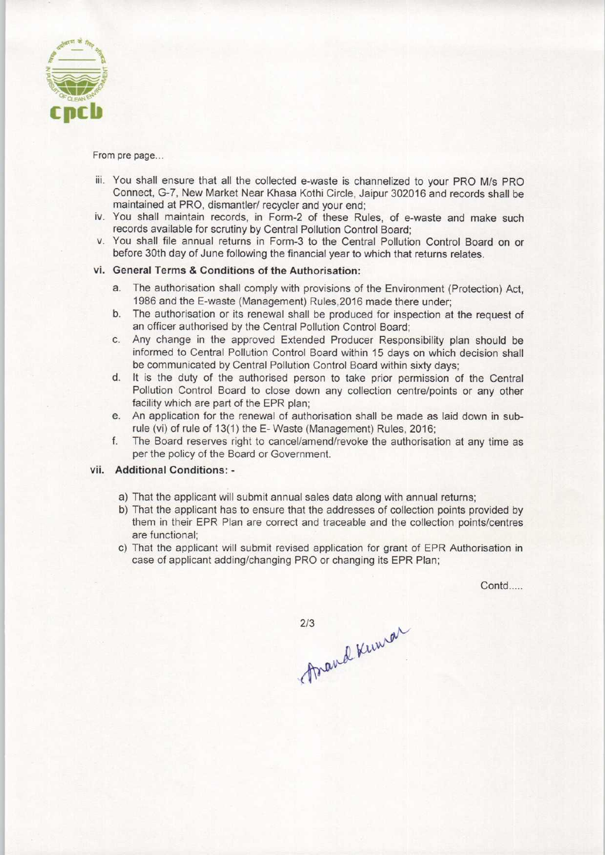

From pre page...

- iii. You shall ensure that all the collected e-waste is channelized to your PRO M/s PRO Connect, G-7, New Market Near Khasa Kothi Circle, Jaipur 302016 and records shall be maintained at PRO, dismantler/ recycler and your end;
- iv. You shall maintain records, in Form-2 of these Rules, of e-waste and make such records available for scrutiny by Central Pollution Control Board;
- v. You shall file annual returns in Form-3 to the Central Pollution Control Board on or before 30th day of June following the financial year to which that returns relates.

# vi. General Terms & Conditions of the Authorisation:

- a.The authorisation shall comply with provisions of the Environment (Protection) Act,
- 1986 and the E-waste (Management) Rules, 2016 made there under;<br>b. The authorisation or its renewal shall be produced for inspection at the request of an officer authorised by the Central Pollution Control Board; b. The authorisation or its renewal shall be produced for inspection at the request of an officer authorised by the Central Pollution Control Board;<br>c. Any change in the approved Extended Producer Responsibility plan shoul
- informed to Central Pollution Control Board within 15 days on which decision shall be communicated by Central Pollution Control Board within sixty days;
- d. It is the duty of the authorised person to take prior permission of the Central Pollution Control Board to close down any collection centre/points or any other facility which are part of the EPR plan;
- e.An application for the renewal of authorisation shall be made aslaid down in subrule (vi) of rule of 13(1) the E- Waste (Management) Rules, 2016;
- f. The Board reserves right to cancel/amend/revoke the authorisation at any time as per the policy of the Board or Government.

## vii. Additional Conditions: -

- a) That the applicant will submit annual sales data along with annual returns;
- b) That the applicant has to ensure that the addresses of collection points provided by them in their EPR Plan are correct and traceable and the collection points/centres are functional;
- c) That the applicant will submit revised application for grant of EPR Authorisation in case of applicant adding/changing PRO or changing its EPR Plan;

Contd....

2/3 Read Kima